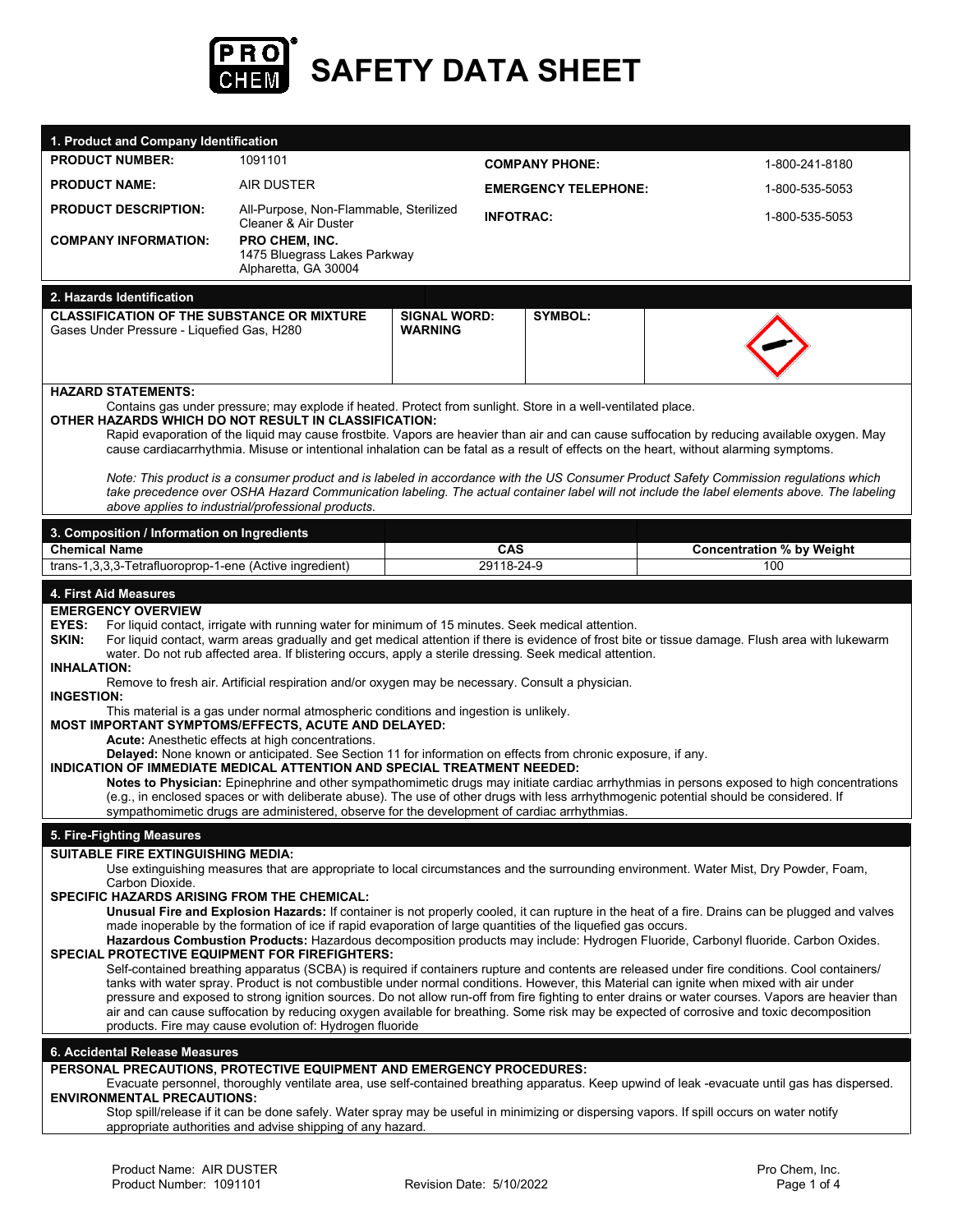

| 1. Product and Company Identification                                                                                                                                                                                                                                                          |                                                                                                              |                                       |                             |                                                                                                                                                                                                                                                                                       |  |
|------------------------------------------------------------------------------------------------------------------------------------------------------------------------------------------------------------------------------------------------------------------------------------------------|--------------------------------------------------------------------------------------------------------------|---------------------------------------|-----------------------------|---------------------------------------------------------------------------------------------------------------------------------------------------------------------------------------------------------------------------------------------------------------------------------------|--|
| <b>PRODUCT NUMBER:</b>                                                                                                                                                                                                                                                                         | 1091101                                                                                                      |                                       | <b>COMPANY PHONE:</b>       | 1-800-241-8180                                                                                                                                                                                                                                                                        |  |
| <b>PRODUCT NAME:</b>                                                                                                                                                                                                                                                                           | <b>AIR DUSTER</b>                                                                                            |                                       | <b>EMERGENCY TELEPHONE:</b> | 1-800-535-5053                                                                                                                                                                                                                                                                        |  |
| <b>PRODUCT DESCRIPTION:</b>                                                                                                                                                                                                                                                                    | All-Purpose, Non-Flammable, Sterilized                                                                       |                                       | <b>INFOTRAC:</b>            | 1-800-535-5053                                                                                                                                                                                                                                                                        |  |
| <b>COMPANY INFORMATION:</b>                                                                                                                                                                                                                                                                    | Cleaner & Air Duster<br>PRO CHEM, INC.                                                                       |                                       |                             |                                                                                                                                                                                                                                                                                       |  |
|                                                                                                                                                                                                                                                                                                | 1475 Bluegrass Lakes Parkway<br>Alpharetta, GA 30004                                                         |                                       |                             |                                                                                                                                                                                                                                                                                       |  |
|                                                                                                                                                                                                                                                                                                |                                                                                                              |                                       |                             |                                                                                                                                                                                                                                                                                       |  |
| 2. Hazards Identification<br><b>CLASSIFICATION OF THE SUBSTANCE OR MIXTURE</b>                                                                                                                                                                                                                 |                                                                                                              |                                       | SYMBOL:                     |                                                                                                                                                                                                                                                                                       |  |
| Gases Under Pressure - Liquefied Gas, H280                                                                                                                                                                                                                                                     |                                                                                                              | <b>SIGNAL WORD:</b><br><b>WARNING</b> |                             |                                                                                                                                                                                                                                                                                       |  |
|                                                                                                                                                                                                                                                                                                |                                                                                                              |                                       |                             |                                                                                                                                                                                                                                                                                       |  |
|                                                                                                                                                                                                                                                                                                |                                                                                                              |                                       |                             |                                                                                                                                                                                                                                                                                       |  |
| <b>HAZARD STATEMENTS:</b>                                                                                                                                                                                                                                                                      |                                                                                                              |                                       |                             |                                                                                                                                                                                                                                                                                       |  |
| OTHER HAZARDS WHICH DO NOT RESULT IN CLASSIFICATION:                                                                                                                                                                                                                                           | Contains gas under pressure; may explode if heated. Protect from sunlight. Store in a well-ventilated place. |                                       |                             |                                                                                                                                                                                                                                                                                       |  |
| Rapid evaporation of the liquid may cause frostbite. Vapors are heavier than air and can cause suffocation by reducing available oxygen. May<br>cause cardiacarrhythmia. Misuse or intentional inhalation can be fatal as a result of effects on the heart, without alarming symptoms.         |                                                                                                              |                                       |                             |                                                                                                                                                                                                                                                                                       |  |
|                                                                                                                                                                                                                                                                                                |                                                                                                              |                                       |                             |                                                                                                                                                                                                                                                                                       |  |
|                                                                                                                                                                                                                                                                                                |                                                                                                              |                                       |                             | Note: This product is a consumer product and is labeled in accordance with the US Consumer Product Safety Commission regulations which<br>take precedence over OSHA Hazard Communication labeling. The actual container label will not include the label elements above. The labeling |  |
|                                                                                                                                                                                                                                                                                                | above applies to industrial/professional products.                                                           |                                       |                             |                                                                                                                                                                                                                                                                                       |  |
| 3. Composition / Information on Ingredients                                                                                                                                                                                                                                                    |                                                                                                              |                                       |                             |                                                                                                                                                                                                                                                                                       |  |
| <b>Chemical Name</b><br>trans-1,3,3,3-Tetrafluoroprop-1-ene (Active ingredient)                                                                                                                                                                                                                |                                                                                                              | CAS<br>29118-24-9                     |                             | <b>Concentration % by Weight</b>                                                                                                                                                                                                                                                      |  |
|                                                                                                                                                                                                                                                                                                |                                                                                                              |                                       |                             | 100                                                                                                                                                                                                                                                                                   |  |
| 4. First Aid Measures                                                                                                                                                                                                                                                                          |                                                                                                              |                                       |                             |                                                                                                                                                                                                                                                                                       |  |
| <b>EMERGENCY OVERVIEW</b><br><b>EYES:</b>                                                                                                                                                                                                                                                      | For liquid contact, irrigate with running water for minimum of 15 minutes. Seek medical attention.           |                                       |                             |                                                                                                                                                                                                                                                                                       |  |
| SKIN:                                                                                                                                                                                                                                                                                          |                                                                                                              |                                       |                             | For liquid contact, warm areas gradually and get medical attention if there is evidence of frost bite or tissue damage. Flush area with lukewarm                                                                                                                                      |  |
| water. Do not rub affected area. If blistering occurs, apply a sterile dressing. Seek medical attention.<br><b>INHALATION:</b>                                                                                                                                                                 |                                                                                                              |                                       |                             |                                                                                                                                                                                                                                                                                       |  |
| Remove to fresh air. Artificial respiration and/or oxygen may be necessary. Consult a physician.                                                                                                                                                                                               |                                                                                                              |                                       |                             |                                                                                                                                                                                                                                                                                       |  |
| <b>INGESTION:</b><br>This material is a gas under normal atmospheric conditions and ingestion is unlikely.                                                                                                                                                                                     |                                                                                                              |                                       |                             |                                                                                                                                                                                                                                                                                       |  |
| MOST IMPORTANT SYMPTOMS/EFFECTS, ACUTE AND DELAYED:<br>Acute: Anesthetic effects at high concentrations.                                                                                                                                                                                       |                                                                                                              |                                       |                             |                                                                                                                                                                                                                                                                                       |  |
| Delayed: None known or anticipated. See Section 11 for information on effects from chronic exposure, if any.                                                                                                                                                                                   |                                                                                                              |                                       |                             |                                                                                                                                                                                                                                                                                       |  |
| INDICATION OF IMMEDIATE MEDICAL ATTENTION AND SPECIAL TREATMENT NEEDED:<br>Notes to Physician: Epinephrine and other sympathomimetic drugs may initiate cardiac arrhythmias in persons exposed to high concentrations                                                                          |                                                                                                              |                                       |                             |                                                                                                                                                                                                                                                                                       |  |
| (e.g., in enclosed spaces or with deliberate abuse). The use of other drugs with less arrhythmogenic potential should be considered. If<br>sympathomimetic drugs are administered, observe for the development of cardiac arrhythmias.                                                         |                                                                                                              |                                       |                             |                                                                                                                                                                                                                                                                                       |  |
|                                                                                                                                                                                                                                                                                                |                                                                                                              |                                       |                             |                                                                                                                                                                                                                                                                                       |  |
| 5. Fire-Fighting Measures<br>SUITABLE FIRE EXTINGUISHING MEDIA:                                                                                                                                                                                                                                |                                                                                                              |                                       |                             |                                                                                                                                                                                                                                                                                       |  |
| Use extinguishing measures that are appropriate to local circumstances and the surrounding environment. Water Mist, Dry Powder, Foam,                                                                                                                                                          |                                                                                                              |                                       |                             |                                                                                                                                                                                                                                                                                       |  |
| Carbon Dioxide.<br><b>SPECIFIC HAZARDS ARISING FROM THE CHEMICAL:</b>                                                                                                                                                                                                                          |                                                                                                              |                                       |                             |                                                                                                                                                                                                                                                                                       |  |
| Unusual Fire and Explosion Hazards: If container is not properly cooled, it can rupture in the heat of a fire. Drains can be plugged and valves                                                                                                                                                |                                                                                                              |                                       |                             |                                                                                                                                                                                                                                                                                       |  |
| made inoperable by the formation of ice if rapid evaporation of large quantities of the liquefied gas occurs.<br>Hazardous Combustion Products: Hazardous decomposition products may include: Hydrogen Fluoride, Carbonyl fluoride. Carbon Oxides.                                             |                                                                                                              |                                       |                             |                                                                                                                                                                                                                                                                                       |  |
| <b>SPECIAL PROTECTIVE EQUIPMENT FOR FIREFIGHTERS:</b>                                                                                                                                                                                                                                          |                                                                                                              |                                       |                             |                                                                                                                                                                                                                                                                                       |  |
| Self-contained breathing apparatus (SCBA) is required if containers rupture and contents are released under fire conditions. Cool containers/<br>tanks with water spray. Product is not combustible under normal conditions. However, this Material can ignite when mixed with air under       |                                                                                                              |                                       |                             |                                                                                                                                                                                                                                                                                       |  |
| pressure and exposed to strong ignition sources. Do not allow run-off from fire fighting to enter drains or water courses. Vapors are heavier than<br>air and can cause suffocation by reducing oxygen available for breathing. Some risk may be expected of corrosive and toxic decomposition |                                                                                                              |                                       |                             |                                                                                                                                                                                                                                                                                       |  |
|                                                                                                                                                                                                                                                                                                | products. Fire may cause evolution of: Hydrogen fluoride                                                     |                                       |                             |                                                                                                                                                                                                                                                                                       |  |
| 6. Accidental Release Measures                                                                                                                                                                                                                                                                 |                                                                                                              |                                       |                             |                                                                                                                                                                                                                                                                                       |  |
| PERSONAL PRECAUTIONS, PROTECTIVE EQUIPMENT AND EMERGENCY PROCEDURES:                                                                                                                                                                                                                           |                                                                                                              |                                       |                             |                                                                                                                                                                                                                                                                                       |  |
| <b>ENVIRONMENTAL PRECAUTIONS:</b>                                                                                                                                                                                                                                                              |                                                                                                              |                                       |                             | Evacuate personnel, thoroughly ventilate area, use self-contained breathing apparatus. Keep upwind of leak -evacuate until gas has dispersed.                                                                                                                                         |  |
| Stop spill/release if it can be done safely. Water spray may be useful in minimizing or dispersing vapors. If spill occurs on water notify<br>appropriate authorities and advise shipping of any hazard.                                                                                       |                                                                                                              |                                       |                             |                                                                                                                                                                                                                                                                                       |  |
|                                                                                                                                                                                                                                                                                                |                                                                                                              |                                       |                             |                                                                                                                                                                                                                                                                                       |  |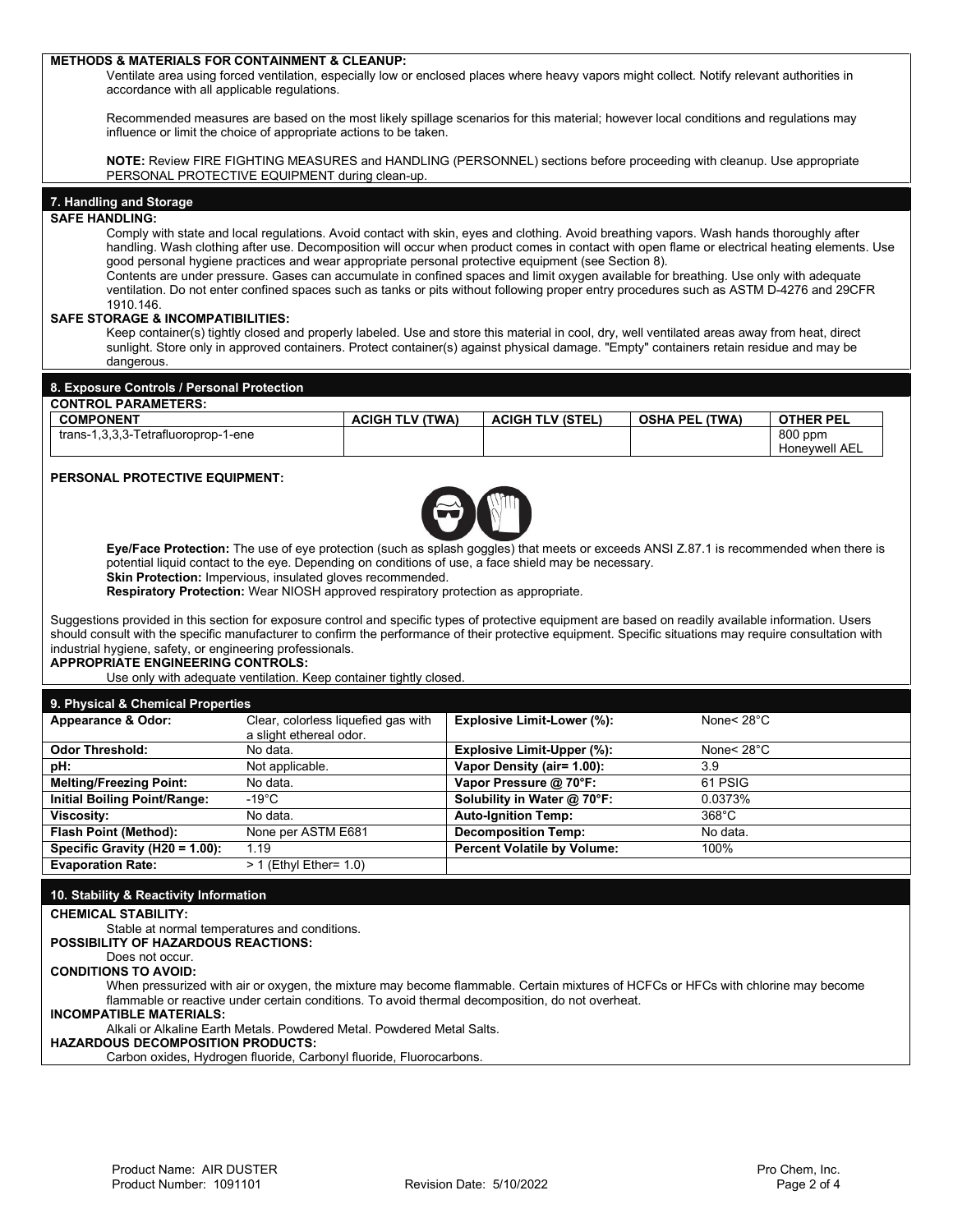## **METHODS & MATERIALS FOR CONTAINMENT & CLEANUP:** Ventilate area using forced ventilation, especially low or enclosed places where heavy vapors might collect. Notify relevant authorities in accordance with all applicable regulations. Recommended measures are based on the most likely spillage scenarios for this material; however local conditions and regulations may influence or limit the choice of appropriate actions to be taken. **NOTE:** Review FIRE FIGHTING MEASURES and HANDLING (PERSONNEL) sections before proceeding with cleanup. Use appropriate PERSONAL PROTECTIVE EQUIPMENT during clean-up. **7. Handling and Storage SAFE HANDLING:**  Comply with state and local regulations. Avoid contact with skin, eyes and clothing. Avoid breathing vapors. Wash hands thoroughly after handling. Wash clothing after use. Decomposition will occur when product comes in contact with open flame or electrical heating elements. Use good personal hygiene practices and wear appropriate personal protective equipment (see Section 8). Contents are under pressure. Gases can accumulate in confined spaces and limit oxygen available for breathing. Use only with adequate ventilation. Do not enter confined spaces such as tanks or pits without following proper entry procedures such as ASTM D-4276 and 29CFR 1910.146. **SAFE STORAGE & INCOMPATIBILITIES:**  Keep container(s) tightly closed and properly labeled. Use and store this material in cool, dry, well ventilated areas away from heat, direct sunlight. Store only in approved containers. Protect container(s) against physical damage. "Empty" containers retain residue and may be dangerous. **8. Exposure Controls / Personal Protection CONTROL PARAMETERS: COMPONENT ACIGH TLV (TWA) ACIGH TLV (STEL) OSHA PEL (TWA) OTHER PEL**  $trans-1,3,3,3-Tetrafluoroprop-1-ene$ Honeywell AEL **PERSONAL PROTECTIVE EQUIPMENT: Eye/Face Protection:** The use of eye protection (such as splash goggles) that meets or exceeds ANSI Z.87.1 is recommended when there is potential liquid contact to the eye. Depending on conditions of use, a face shield may be necessary. **Skin Protection:** Impervious, insulated gloves recommended. **Respiratory Protection:** Wear NIOSH approved respiratory protection as appropriate. Suggestions provided in this section for exposure control and specific types of protective equipment are based on readily available information. Users should consult with the specific manufacturer to confirm the performance of their protective equipment. Specific situations may require consultation with industrial hygiene, safety, or engineering professionals. **APPROPRIATE ENGINEERING CONTROLS:** Use only with adequate ventilation. Keep container tightly closed. **9. Physical & Chemical Properties Appearance & Odor:** Clear, colorless liquefied gas with a slight ethereal odor. **Explosive Limit-Lower (%):** None< 28°C **Odor Threshold:** No data. **Explosive Limit-Upper (%):** None< 28°C **pH:** Not applicable. **Vapor Density (air= 1.00):** 3.9 **Melting/Freezing Point:** No data. **Vapor Pressure @ 70°F:** 61 PSIG **Initial Boiling Point/Range:** -19°C **Solubility in Water @ 70°F:** 0.0373% **Viscosity:** No data. **Auto-Ignition Temp:** 368°C **Flash Point (Method):** None per ASTM E681 **Decomposition Temp:** No data.<br> **Specific Gravity (H20 = 1.00):** 1.19 **Percent Volatile by Volume:** 100% **Specific Gravity (H20 = 1.00):**<br>Evaporation Rate: **Franch Prince Rate:** 1.0) **10. Stability & Reactivity Information CHEMICAL STABILITY:**  Stable at normal temperatures and conditions. **POSSIBILITY OF HAZARDOUS REACTIONS:** Does not occur. **CONDITIONS TO AVOID:**  When pressurized with air or oxygen, the mixture may become flammable. Certain mixtures of HCFCs or HFCs with chlorine may become flammable or reactive under certain conditions. To avoid thermal decomposition, do not overheat. **INCOMPATIBLE MATERIALS:**  Alkali or Alkaline Earth Metals. Powdered Metal. Powdered Metal Salts. **HAZARDOUS DECOMPOSITION PRODUCTS:**  Carbon oxides, Hydrogen fluoride, Carbonyl fluoride, Fluorocarbons.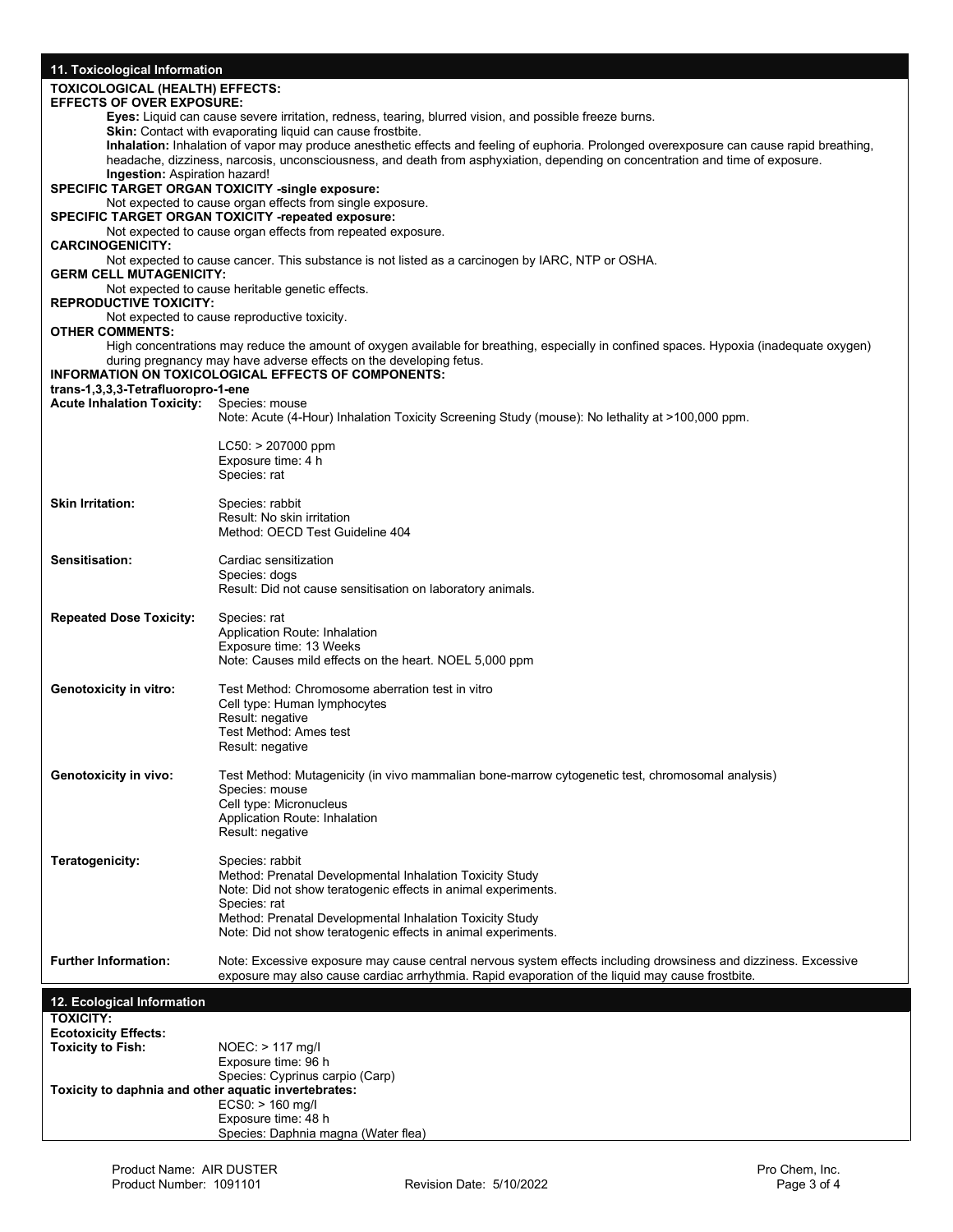| 11. Toxicological Information                           |                                                                                                                                                                                                                                                                            |  |  |
|---------------------------------------------------------|----------------------------------------------------------------------------------------------------------------------------------------------------------------------------------------------------------------------------------------------------------------------------|--|--|
| <b>TOXICOLOGICAL (HEALTH) EFFECTS:</b>                  |                                                                                                                                                                                                                                                                            |  |  |
| <b>EFFECTS OF OVER EXPOSURE:</b>                        |                                                                                                                                                                                                                                                                            |  |  |
|                                                         | Eyes: Liquid can cause severe irritation, redness, tearing, blurred vision, and possible freeze burns.                                                                                                                                                                     |  |  |
|                                                         | Skin: Contact with evaporating liquid can cause frostbite.                                                                                                                                                                                                                 |  |  |
|                                                         | Inhalation: Inhalation of vapor may produce anesthetic effects and feeling of euphoria. Prolonged overexposure can cause rapid breathing,<br>headache, dizziness, narcosis, unconsciousness, and death from asphyxiation, depending on concentration and time of exposure. |  |  |
| <b>Ingestion:</b> Aspiration hazard!                    |                                                                                                                                                                                                                                                                            |  |  |
|                                                         | <b>SPECIFIC TARGET ORGAN TOXICITY -single exposure:</b>                                                                                                                                                                                                                    |  |  |
|                                                         | Not expected to cause organ effects from single exposure.                                                                                                                                                                                                                  |  |  |
|                                                         | <b>SPECIFIC TARGET ORGAN TOXICITY -repeated exposure:</b>                                                                                                                                                                                                                  |  |  |
|                                                         | Not expected to cause organ effects from repeated exposure.                                                                                                                                                                                                                |  |  |
| <b>CARCINOGENICITY:</b>                                 | Not expected to cause cancer. This substance is not listed as a carcinogen by IARC, NTP or OSHA.                                                                                                                                                                           |  |  |
| <b>GERM CELL MUTAGENICITY:</b>                          |                                                                                                                                                                                                                                                                            |  |  |
|                                                         | Not expected to cause heritable genetic effects.                                                                                                                                                                                                                           |  |  |
| <b>REPRODUCTIVE TOXICITY:</b>                           |                                                                                                                                                                                                                                                                            |  |  |
|                                                         | Not expected to cause reproductive toxicity.                                                                                                                                                                                                                               |  |  |
| <b>OTHER COMMENTS:</b>                                  |                                                                                                                                                                                                                                                                            |  |  |
|                                                         | High concentrations may reduce the amount of oxygen available for breathing, especially in confined spaces. Hypoxia (inadequate oxygen)<br>during pregnancy may have adverse effects on the developing fetus.                                                              |  |  |
|                                                         | <b>INFORMATION ON TOXICOLOGICAL EFFECTS OF COMPONENTS:</b>                                                                                                                                                                                                                 |  |  |
| trans-1,3,3,3-Tetrafluoropro-1-ene                      |                                                                                                                                                                                                                                                                            |  |  |
| <b>Acute Inhalation Toxicity:</b>                       | Species: mouse                                                                                                                                                                                                                                                             |  |  |
|                                                         | Note: Acute (4-Hour) Inhalation Toxicity Screening Study (mouse): No lethality at >100,000 ppm.                                                                                                                                                                            |  |  |
|                                                         |                                                                                                                                                                                                                                                                            |  |  |
|                                                         | $LC50:$ > 207000 ppm<br>Exposure time: 4 h                                                                                                                                                                                                                                 |  |  |
|                                                         | Species: rat                                                                                                                                                                                                                                                               |  |  |
|                                                         |                                                                                                                                                                                                                                                                            |  |  |
| <b>Skin Irritation:</b>                                 | Species: rabbit                                                                                                                                                                                                                                                            |  |  |
|                                                         | Result: No skin irritation                                                                                                                                                                                                                                                 |  |  |
|                                                         | Method: OECD Test Guideline 404                                                                                                                                                                                                                                            |  |  |
| Sensitisation:                                          | Cardiac sensitization                                                                                                                                                                                                                                                      |  |  |
|                                                         | Species: dogs                                                                                                                                                                                                                                                              |  |  |
|                                                         | Result: Did not cause sensitisation on laboratory animals.                                                                                                                                                                                                                 |  |  |
|                                                         |                                                                                                                                                                                                                                                                            |  |  |
| <b>Repeated Dose Toxicity:</b>                          | Species: rat                                                                                                                                                                                                                                                               |  |  |
|                                                         | Application Route: Inhalation                                                                                                                                                                                                                                              |  |  |
|                                                         | Exposure time: 13 Weeks<br>Note: Causes mild effects on the heart. NOEL 5,000 ppm                                                                                                                                                                                          |  |  |
|                                                         |                                                                                                                                                                                                                                                                            |  |  |
| <b>Genotoxicity in vitro:</b>                           | Test Method: Chromosome aberration test in vitro                                                                                                                                                                                                                           |  |  |
|                                                         | Cell type: Human lymphocytes                                                                                                                                                                                                                                               |  |  |
|                                                         | Result: negative                                                                                                                                                                                                                                                           |  |  |
|                                                         | Test Method: Ames test                                                                                                                                                                                                                                                     |  |  |
|                                                         | Result: negative                                                                                                                                                                                                                                                           |  |  |
| <b>Genotoxicity in vivo:</b>                            | Test Method: Mutagenicity (in vivo mammalian bone-marrow cytogenetic test, chromosomal analysis)                                                                                                                                                                           |  |  |
|                                                         | Species: mouse                                                                                                                                                                                                                                                             |  |  |
|                                                         | Cell type: Micronucleus                                                                                                                                                                                                                                                    |  |  |
|                                                         | Application Route: Inhalation                                                                                                                                                                                                                                              |  |  |
|                                                         | Result: negative                                                                                                                                                                                                                                                           |  |  |
| Teratogenicity:                                         | Species: rabbit                                                                                                                                                                                                                                                            |  |  |
|                                                         | Method: Prenatal Developmental Inhalation Toxicity Study                                                                                                                                                                                                                   |  |  |
|                                                         | Note: Did not show teratogenic effects in animal experiments.                                                                                                                                                                                                              |  |  |
|                                                         | Species: rat                                                                                                                                                                                                                                                               |  |  |
|                                                         | Method: Prenatal Developmental Inhalation Toxicity Study                                                                                                                                                                                                                   |  |  |
|                                                         | Note: Did not show teratogenic effects in animal experiments.                                                                                                                                                                                                              |  |  |
| <b>Further Information:</b>                             | Note: Excessive exposure may cause central nervous system effects including drowsiness and dizziness. Excessive                                                                                                                                                            |  |  |
|                                                         | exposure may also cause cardiac arrhythmia. Rapid evaporation of the liquid may cause frostbite.                                                                                                                                                                           |  |  |
|                                                         |                                                                                                                                                                                                                                                                            |  |  |
| 12. Ecological Information                              |                                                                                                                                                                                                                                                                            |  |  |
| <b>TOXICITY:</b>                                        |                                                                                                                                                                                                                                                                            |  |  |
| <b>Ecotoxicity Effects:</b><br><b>Toxicity to Fish:</b> | NOEC: > 117 mg/l                                                                                                                                                                                                                                                           |  |  |
|                                                         | Exposure time: 96 h                                                                                                                                                                                                                                                        |  |  |
|                                                         | Species: Cyprinus carpio (Carp)                                                                                                                                                                                                                                            |  |  |
| Toxicity to daphnia and other aquatic invertebrates:    |                                                                                                                                                                                                                                                                            |  |  |
|                                                         | $ECS0:$ > 160 mg/l                                                                                                                                                                                                                                                         |  |  |
|                                                         | Exposure time: 48 h                                                                                                                                                                                                                                                        |  |  |
|                                                         | Species: Daphnia magna (Water flea)                                                                                                                                                                                                                                        |  |  |